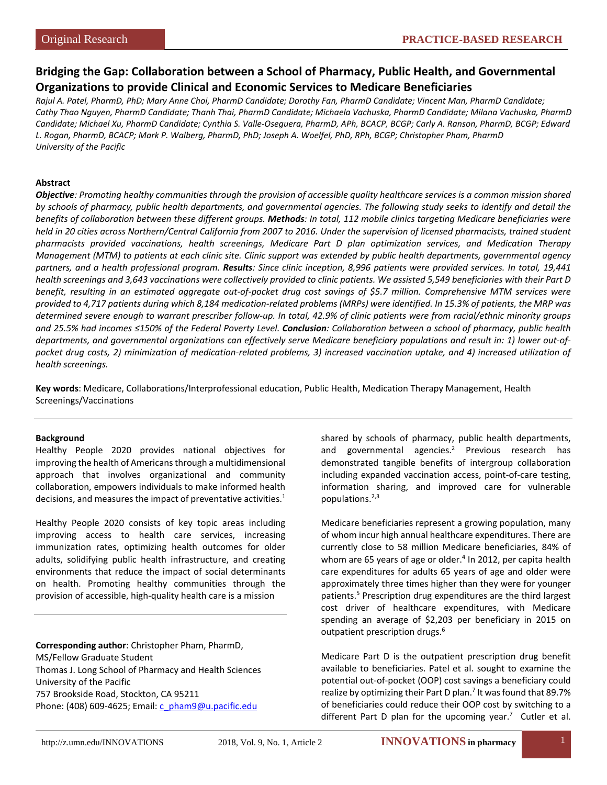# **Bridging the Gap: Collaboration between a School of Pharmacy, Public Health, and Governmental Organizations to provide Clinical and Economic Services to Medicare Beneficiaries**

*Rajul A. Patel, PharmD, PhD; Mary Anne Choi, PharmD Candidate; Dorothy Fan, PharmD Candidate; Vincent Man, PharmD Candidate; Cathy Thao Nguyen, PharmD Candidate; Thanh Thai, PharmD Candidate; Michaela Vachuska, PharmD Candidate; Milana Vachuska, PharmD Candidate; Michael Xu, PharmD Candidate; Cynthia S. Valle-Oseguera, PharmD, APh, BCACP, BCGP; Carly A. Ranson, PharmD, BCGP; Edward L. Rogan, PharmD, BCACP; Mark P. Walberg, PharmD, PhD; Joseph A. Woelfel, PhD, RPh, BCGP; Christopher Pham, PharmD University of the Pacific*

### **Abstract**

*Objective: Promoting healthy communities through the provision of accessible quality healthcare services is a common mission shared by schools of pharmacy, public health departments, and governmental agencies. The following study seeks to identify and detail the benefits of collaboration between these different groups. Methods: In total, 112 mobile clinics targeting Medicare beneficiaries were held in 20 cities across Northern/Central California from 2007 to 2016. Under the supervision of licensed pharmacists, trained student pharmacists provided vaccinations, health screenings, Medicare Part D plan optimization services, and Medication Therapy Management (MTM) to patients at each clinic site. Clinic support was extended by public health departments, governmental agency partners, and a health professional program. Results: Since clinic inception, 8,996 patients were provided services. In total, 19,441 health screenings and 3,643 vaccinations were collectively provided to clinic patients. We assisted 5,549 beneficiaries with their Part D benefit, resulting in an estimated aggregate out-of-pocket drug cost savings of \$5.7 million. Comprehensive MTM services were provided to 4,717 patients during which 8,184 medication-related problems (MRPs) were identified. In 15.3% of patients, the MRP was determined severe enough to warrant prescriber follow-up. In total, 42.9% of clinic patients were from racial/ethnic minority groups and 25.5% had incomes ≤150% of the Federal Poverty Level. Conclusion: Collaboration between a school of pharmacy, public health departments, and governmental organizations can effectively serve Medicare beneficiary populations and result in: 1) lower out-ofpocket drug costs, 2) minimization of medication-related problems, 3) increased vaccination uptake, and 4) increased utilization of health screenings.*

**Key words**: Medicare, Collaborations/Interprofessional education, Public Health, Medication Therapy Management, Health Screenings/Vaccinations

#### **Background**

Healthy People 2020 provides national objectives for improving the health of Americans through a multidimensional approach that involves organizational and community collaboration, empowers individuals to make informed health decisions, and measures the impact of preventative activities.<sup>1</sup>

Healthy People 2020 consists of key topic areas including improving access to health care services, increasing immunization rates, optimizing health outcomes for older adults, solidifying public health infrastructure, and creating environments that reduce the impact of social determinants on health. Promoting healthy communities through the provision of accessible, high-quality health care is a mission

**Corresponding author**: Christopher Pham, PharmD, MS/Fellow Graduate Student Thomas J. Long School of Pharmacy and Health Sciences University of the Pacific 757 Brookside Road, Stockton, CA 95211 Phone: [\(408\) 609-4625;](tel:(209)%20946-3151) Email: [c\\_pham9@u.pacific.edu](mailto:rpatel@pacific.edu)

shared by schools of pharmacy, public health departments, and governmental agencies.<sup>2</sup> Previous research has demonstrated tangible benefits of intergroup collaboration including expanded vaccination access, point-of-care testing, information sharing, and improved care for vulnerable populations. $2,3$ 

Medicare beneficiaries represent a growing population, many of whom incur high annual healthcare expenditures. There are currently close to 58 million Medicare beneficiaries, 84% of whom are 65 years of age or older. $4$  In 2012, per capita health care expenditures for adults 65 years of age and older were approximately three times higher than they were for younger patients.5 Prescription drug expenditures are the third largest cost driver of healthcare expenditures, with Medicare spending an average of \$2,203 per beneficiary in 2015 on outpatient prescription drugs.<sup>6</sup>

Medicare Part D is the outpatient prescription drug benefit available to beneficiaries. Patel et al. sought to examine the potential out-of-pocket (OOP) cost savings a beneficiary could realize by optimizing their Part D plan.<sup>7</sup> It was found that 89.7% of beneficiaries could reduce their OOP cost by switching to a different Part D plan for the upcoming year.<sup>7</sup> Cutler et al.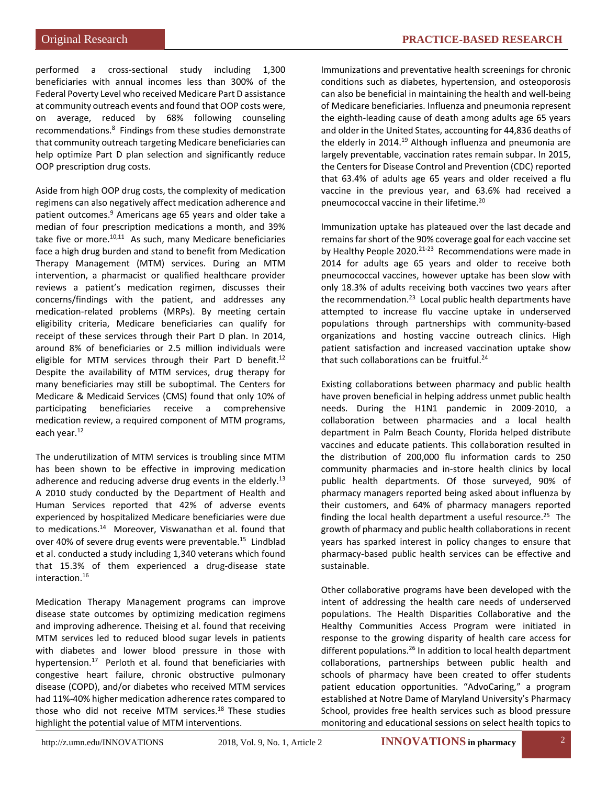Original Research **PRACTICE-BASED RESEARCH**

performed a cross-sectional study including 1,300 beneficiaries with annual incomes less than 300% of the Federal Poverty Level who received Medicare Part D assistance at community outreach events and found that OOP costs were, on average, reduced by 68% following counseling recommendations.<sup>8</sup> Findings from these studies demonstrate that community outreach targeting Medicare beneficiaries can help optimize Part D plan selection and significantly reduce OOP prescription drug costs.

Aside from high OOP drug costs, the complexity of medication regimens can also negatively affect medication adherence and patient outcomes.<sup>9</sup> Americans age 65 years and older take a median of four prescription medications a month, and 39% take five or more. $10,11$  As such, many Medicare beneficiaries face a high drug burden and stand to benefit from Medication Therapy Management (MTM) services. During an MTM intervention, a pharmacist or qualified healthcare provider reviews a patient's medication regimen, discusses their concerns/findings with the patient, and addresses any medication-related problems (MRPs). By meeting certain eligibility criteria, Medicare beneficiaries can qualify for receipt of these services through their Part D plan. In 2014, around 8% of beneficiaries or 2.5 million individuals were eligible for MTM services through their Part D benefit.<sup>12</sup> Despite the availability of MTM services, drug therapy for many beneficiaries may still be suboptimal. The Centers for Medicare & Medicaid Services (CMS) found that only 10% of participating beneficiaries receive a comprehensive medication review, a required component of MTM programs, each year.<sup>12</sup>

The underutilization of MTM services is troubling since MTM has been shown to be effective in improving medication adherence and reducing adverse drug events in the elderly.<sup>13</sup> A 2010 study conducted by the Department of Health and Human Services reported that 42% of adverse events experienced by hospitalized Medicare beneficiaries were due to medications.14 Moreover, Viswanathan et al. found that over 40% of severe drug events were preventable.15 Lindblad et al. conducted a study including 1,340 veterans which found that 15.3% of them experienced a drug-disease state interaction.16

Medication Therapy Management programs can improve disease state outcomes by optimizing medication regimens and improving adherence. Theising et al. found that receiving MTM services led to reduced blood sugar levels in patients with diabetes and lower blood pressure in those with hypertension.<sup>17</sup> Perloth et al. found that beneficiaries with congestive heart failure, chronic obstructive pulmonary disease (COPD), and/or diabetes who received MTM services had 11%-40% higher medication adherence rates compared to those who did not receive MTM services.<sup>18</sup> These studies highlight the potential value of MTM interventions.

Immunizations and preventative health screenings for chronic conditions such as diabetes, hypertension, and osteoporosis can also be beneficial in maintaining the health and well-being of Medicare beneficiaries. Influenza and pneumonia represent the eighth-leading cause of death among adults age 65 years and older in the United States, accounting for 44,836 deaths of the elderly in 2014.<sup>19</sup> Although influenza and pneumonia are largely preventable, vaccination rates remain subpar. In 2015, the Centers for Disease Control and Prevention (CDC) reported that 63.4% of adults age 65 years and older received a flu vaccine in the previous year, and 63.6% had received a pneumococcal vaccine in their lifetime.<sup>20</sup>

Immunization uptake has plateaued over the last decade and remains far short of the 90% coverage goal for each vaccine set by Healthy People 2020.<sup>21-23</sup> Recommendations were made in 2014 for adults age 65 years and older to receive both pneumococcal vaccines, however uptake has been slow with only 18.3% of adults receiving both vaccines two years after the recommendation. $^{23}$  Local public health departments have attempted to increase flu vaccine uptake in underserved populations through partnerships with community-based organizations and hosting vaccine outreach clinics. High patient satisfaction and increased vaccination uptake show that such collaborations can be fruitful.<sup>24</sup>

Existing collaborations between pharmacy and public health have proven beneficial in helping address unmet public health needs. During the H1N1 pandemic in 2009-2010, a collaboration between pharmacies and a local health department in Palm Beach County, Florida helped distribute vaccines and educate patients. This collaboration resulted in the distribution of 200,000 flu information cards to 250 community pharmacies and in-store health clinics by local public health departments. Of those surveyed, 90% of pharmacy managers reported being asked about influenza by their customers, and 64% of pharmacy managers reported finding the local health department a useful resource.<sup>25</sup> The growth of pharmacy and public health collaborations in recent years has sparked interest in policy changes to ensure that pharmacy-based public health services can be effective and sustainable.

Other collaborative programs have been developed with the intent of addressing the health care needs of underserved populations. The Health Disparities Collaborative and the Healthy Communities Access Program were initiated in response to the growing disparity of health care access for different populations.<sup>26</sup> In addition to local health department collaborations, partnerships between public health and schools of pharmacy have been created to offer students patient education opportunities. "AdvoCaring," a program established at Notre Dame of Maryland University's Pharmacy School, provides free health services such as blood pressure monitoring and educational sessions on select health topics to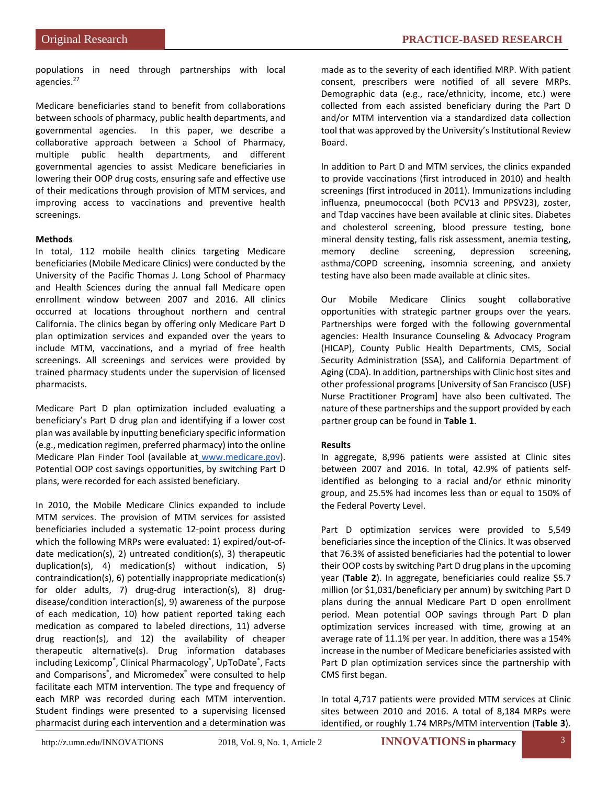populations in need through partnerships with local agencies. 27

Medicare beneficiaries stand to benefit from collaborations between schools of pharmacy, public health departments, and governmental agencies. In this paper, we describe a collaborative approach between a School of Pharmacy, multiple public health departments, and different governmental agencies to assist Medicare beneficiaries in lowering their OOP drug costs, ensuring safe and effective use of their medications through provision of MTM services, and improving access to vaccinations and preventive health screenings.

### **Methods**

In total, 112 mobile health clinics targeting Medicare beneficiaries (Mobile Medicare Clinics) were conducted by the University of the Pacific Thomas J. Long School of Pharmacy and Health Sciences during the annual fall Medicare open enrollment window between 2007 and 2016. All clinics occurred at locations throughout northern and central California. The clinics began by offering only Medicare Part D plan optimization services and expanded over the years to include MTM, vaccinations, and a myriad of free health screenings. All screenings and services were provided by trained pharmacy students under the supervision of licensed pharmacists.

Medicare Part D plan optimization included evaluating a beneficiary's Part D drug plan and identifying if a lower cost plan was available by inputting beneficiary specific information (e.g., medication regimen, preferred pharmacy) into the online Medicare Plan Finder Tool (available at [www.medicare.gov\)](http://www.medicare.gov/). Potential OOP cost savings opportunities, by switching Part D plans, were recorded for each assisted beneficiary.

In 2010, the Mobile Medicare Clinics expanded to include MTM services. The provision of MTM services for assisted beneficiaries included a systematic 12-point process during which the following MRPs were evaluated: 1) expired/out-ofdate medication(s), 2) untreated condition(s), 3) therapeutic duplication(s), 4) medication(s) without indication, 5) contraindication(s), 6) potentially inappropriate medication(s) for older adults, 7) drug-drug interaction(s), 8) drugdisease/condition interaction(s), 9) awareness of the purpose of each medication, 10) how patient reported taking each medication as compared to labeled directions, 11) adverse drug reaction(s), and 12) the availability of cheaper therapeutic alternative(s). Drug information databases including Lexicomp®, Clinical Pharmacology®, UpToDate®, Facts and Comparisons® , and Micromedex® were consulted to help facilitate each MTM intervention. The type and frequency of each MRP was recorded during each MTM intervention. Student findings were presented to a supervising licensed pharmacist during each intervention and a determination was

made as to the severity of each identified MRP. With patient consent, prescribers were notified of all severe MRPs. Demographic data (e.g., race/ethnicity, income, etc.) were collected from each assisted beneficiary during the Part D and/or MTM intervention via a standardized data collection tool that was approved by the University's Institutional Review Board.

In addition to Part D and MTM services, the clinics expanded to provide vaccinations (first introduced in 2010) and health screenings (first introduced in 2011). Immunizations including influenza, pneumococcal (both PCV13 and PPSV23), zoster, and Tdap vaccines have been available at clinic sites. Diabetes and cholesterol screening, blood pressure testing, bone mineral density testing, falls risk assessment, anemia testing, memory decline screening, depression screening, asthma/COPD screening, insomnia screening, and anxiety testing have also been made available at clinic sites.

Our Mobile Medicare Clinics sought collaborative opportunities with strategic partner groups over the years. Partnerships were forged with the following governmental agencies: Health Insurance Counseling & Advocacy Program (HICAP), County Public Health Departments, CMS, Social Security Administration (SSA), and California Department of Aging (CDA). In addition, partnerships with Clinic host sites and other professional programs [University of San Francisco (USF) Nurse Practitioner Program] have also been cultivated. The nature of these partnerships and the support provided by each partner group can be found in **Table 1**.

### **Results**

In aggregate, 8,996 patients were assisted at Clinic sites between 2007 and 2016. In total, 42.9% of patients selfidentified as belonging to a racial and/or ethnic minority group, and 25.5% had incomes less than or equal to 150% of the Federal Poverty Level.

Part D optimization services were provided to 5,549 beneficiaries since the inception of the Clinics. It was observed that 76.3% of assisted beneficiaries had the potential to lower their OOP costs by switching Part D drug plans in the upcoming year (**Table 2**). In aggregate, beneficiaries could realize \$5.7 million (or \$1,031/beneficiary per annum) by switching Part D plans during the annual Medicare Part D open enrollment period. Mean potential OOP savings through Part D plan optimization services increased with time, growing at an average rate of 11.1% per year. In addition, there was a 154% increase in the number of Medicare beneficiaries assisted with Part D plan optimization services since the partnership with CMS first began.

In total 4,717 patients were provided MTM services at Clinic sites between 2010 and 2016. A total of 8,184 MRPs were identified, or roughly 1.74 MRPs/MTM intervention (**Table 3**).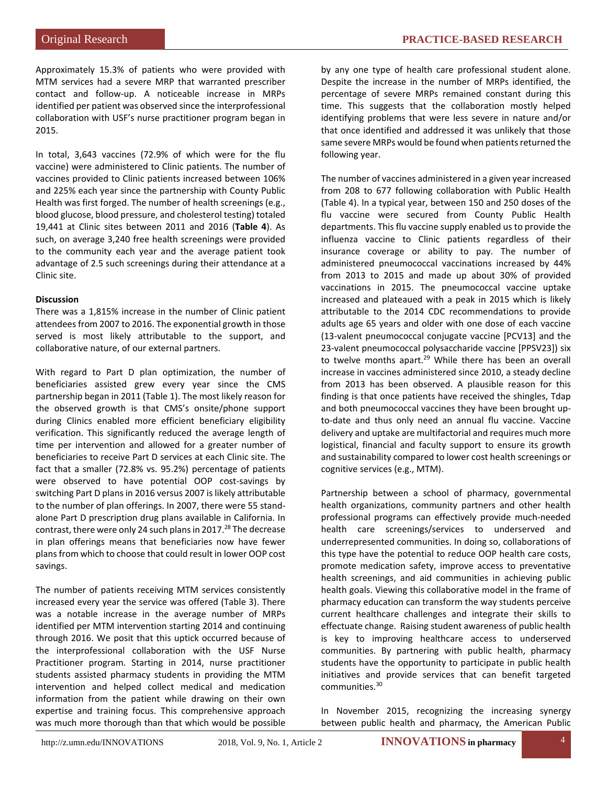Approximately 15.3% of patients who were provided with MTM services had a severe MRP that warranted prescriber contact and follow-up. A noticeable increase in MRPs identified per patient was observed since the interprofessional collaboration with USF's nurse practitioner program began in 2015.

In total, 3,643 vaccines (72.9% of which were for the flu vaccine) were administered to Clinic patients. The number of vaccines provided to Clinic patients increased between 106% and 225% each year since the partnership with County Public Health was first forged. The number of health screenings (e.g., blood glucose, blood pressure, and cholesterol testing) totaled 19,441 at Clinic sites between 2011 and 2016 (**Table 4**). As such, on average 3,240 free health screenings were provided to the community each year and the average patient took advantage of 2.5 such screenings during their attendance at a Clinic site.

#### **Discussion**

There was a 1,815% increase in the number of Clinic patient attendees from 2007 to 2016. The exponential growth in those served is most likely attributable to the support, and collaborative nature, of our external partners.

With regard to Part D plan optimization, the number of beneficiaries assisted grew every year since the CMS partnership began in 2011 (Table 1). The most likely reason for the observed growth is that CMS's onsite/phone support during Clinics enabled more efficient beneficiary eligibility verification. This significantly reduced the average length of time per intervention and allowed for a greater number of beneficiaries to receive Part D services at each Clinic site. The fact that a smaller (72.8% vs. 95.2%) percentage of patients were observed to have potential OOP cost-savings by switching Part D plans in 2016 versus 2007 is likely attributable to the number of plan offerings. In 2007, there were 55 standalone Part D prescription drug plans available in California. In contrast, there were only 24 such plans in 2017. $^{28}$  The decrease in plan offerings means that beneficiaries now have fewer plans from which to choose that could result in lower OOP cost savings.

The number of patients receiving MTM services consistently increased every year the service was offered (Table 3). There was a notable increase in the average number of MRPs identified per MTM intervention starting 2014 and continuing through 2016. We posit that this uptick occurred because of the interprofessional collaboration with the USF Nurse Practitioner program. Starting in 2014, nurse practitioner students assisted pharmacy students in providing the MTM intervention and helped collect medical and medication information from the patient while drawing on their own expertise and training focus. This comprehensive approach was much more thorough than that which would be possible by any one type of health care professional student alone. Despite the increase in the number of MRPs identified, the percentage of severe MRPs remained constant during this time. This suggests that the collaboration mostly helped identifying problems that were less severe in nature and/or that once identified and addressed it was unlikely that those same severe MRPs would be found when patients returned the following year.

The number of vaccines administered in a given year increased from 208 to 677 following collaboration with Public Health (Table 4). In a typical year, between 150 and 250 doses of the flu vaccine were secured from County Public Health departments. This flu vaccine supply enabled us to provide the influenza vaccine to Clinic patients regardless of their insurance coverage or ability to pay. The number of administered pneumococcal vaccinations increased by 44% from 2013 to 2015 and made up about 30% of provided vaccinations in 2015. The pneumococcal vaccine uptake increased and plateaued with a peak in 2015 which is likely attributable to the 2014 CDC recommendations to provide adults age 65 years and older with one dose of each vaccine (13-valent pneumococcal conjugate vaccine [PCV13] and the 23-valent pneumococcal polysaccharide vaccine [PPSV23]) six to twelve months apart.<sup>29</sup> While there has been an overall increase in vaccines administered since 2010, a steady decline from 2013 has been observed. A plausible reason for this finding is that once patients have received the shingles, Tdap and both pneumococcal vaccines they have been brought upto-date and thus only need an annual flu vaccine. Vaccine delivery and uptake are multifactorial and requires much more logistical, financial and faculty support to ensure its growth and sustainability compared to lower cost health screenings or cognitive services (e.g., MTM).

Partnership between a school of pharmacy, governmental health organizations, community partners and other health professional programs can effectively provide much-needed health care screenings/services to underserved and underrepresented communities. In doing so, collaborations of this type have the potential to reduce OOP health care costs, promote medication safety, improve access to preventative health screenings, and aid communities in achieving public health goals. Viewing this collaborative model in the frame of pharmacy education can transform the way students perceive current healthcare challenges and integrate their skills to effectuate change. Raising student awareness of public health is key to improving healthcare access to underserved communities. By partnering with public health, pharmacy students have the opportunity to participate in public health initiatives and provide services that can benefit targeted communities.<sup>30</sup>

In November 2015, recognizing the increasing synergy between public health and pharmacy, the American Public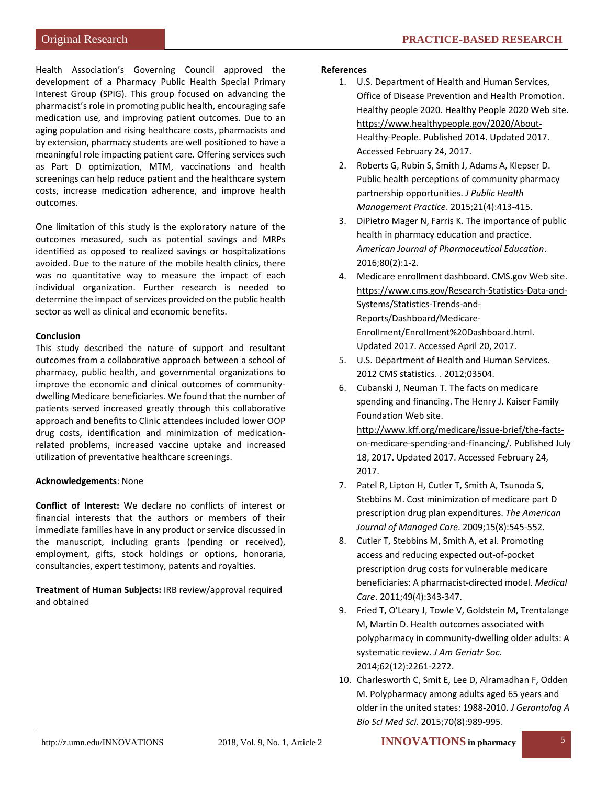Health Association's Governing Council approved the development of a Pharmacy Public Health Special Primary Interest Group (SPIG). This group focused on advancing the pharmacist's role in promoting public health, encouraging safe medication use, and improving patient outcomes. Due to an aging population and rising healthcare costs, pharmacists and by extension, pharmacy students are well positioned to have a meaningful role impacting patient care. Offering services such as Part D optimization, MTM, vaccinations and health screenings can help reduce patient and the healthcare system costs, increase medication adherence, and improve health outcomes.

One limitation of this study is the exploratory nature of the outcomes measured, such as potential savings and MRPs identified as opposed to realized savings or hospitalizations avoided. Due to the nature of the mobile health clinics, there was no quantitative way to measure the impact of each individual organization. Further research is needed to determine the impact of services provided on the public health sector as well as clinical and economic benefits.

## **Conclusion**

This study described the nature of support and resultant outcomes from a collaborative approach between a school of pharmacy, public health, and governmental organizations to improve the economic and clinical outcomes of communitydwelling Medicare beneficiaries. We found that the number of patients served increased greatly through this collaborative approach and benefits to Clinic attendees included lower OOP drug costs, identification and minimization of medicationrelated problems, increased vaccine uptake and increased utilization of preventative healthcare screenings.

### **Acknowledgements**: None

**Conflict of Interest:** We declare no conflicts of interest or financial interests that the authors or members of their immediate families have in any product or service discussed in the manuscript, including grants (pending or received), employment, gifts, stock holdings or options, honoraria, consultancies, expert testimony, patents and royalties.

**Treatment of Human Subjects:** IRB review/approval required and obtained

#### **References**

- 1. U.S. Department of Health and Human Services, Office of Disease Prevention and Health Promotion. Healthy people 2020. Healthy People 2020 Web site[.](https://www.healthypeople.gov/2020/About-Healthy-People) [https://www.healthypeople.gov/2020/About-](https://www.healthypeople.gov/2020/About-Healthy-People)[Healthy-People.](https://www.healthypeople.gov/2020/About-Healthy-People) Published 2014. Updated 2017. Accessed February 24, 2017.
- 2. Roberts G, Rubin S, Smith J, Adams A, Klepser D. Public health perceptions of community pharmacy partnership opportunities. *J Public Health Management Practice*. 2015;21(4):413-415.
- 3. DiPietro Mager N, Farris K. The importance of public health in pharmacy education and practice. *American Journal of Pharmaceutical Education*. 2016;80(2):1-2.
- 4. Medicare enrollment dashboard. CMS.gov Web site[.](https://www.cms.gov/Research-Statistics-Data-and-Systems/Statistics-Trends-and-Reports/Dashboard/Medicare-Enrollment/Enrollment%20Dashboard.html) [https://www.cms.gov/Research-Statistics-Data-and-](https://www.cms.gov/Research-Statistics-Data-and-Systems/Statistics-Trends-and-Reports/Dashboard/Medicare-Enrollment/Enrollment%20Dashboard.html)[Systems/Statistics-Trends-and-](https://www.cms.gov/Research-Statistics-Data-and-Systems/Statistics-Trends-and-Reports/Dashboard/Medicare-Enrollment/Enrollment%20Dashboard.html)[Reports/Dashboard/Medicare-](https://www.cms.gov/Research-Statistics-Data-and-Systems/Statistics-Trends-and-Reports/Dashboard/Medicare-Enrollment/Enrollment%20Dashboard.html)[Enrollment/Enrollment%20Dashboard.html.](https://www.cms.gov/Research-Statistics-Data-and-Systems/Statistics-Trends-and-Reports/Dashboard/Medicare-Enrollment/Enrollment%20Dashboard.html) Updated 2017. Accessed April 20, 2017.
- 5. U.S. Department of Health and Human Services. 2012 CMS statistics. . 2012;03504.
- 6. Cubanski J, Neuman T. The facts on medicare spending and financing. The Henry J. Kaiser Family Foundation Web site[.](http://www.kff.org/medicare/issue-brief/the-facts-on-medicare-spending-and-financing/) [http://www.kff.org/medicare/issue-brief/the-facts](http://www.kff.org/medicare/issue-brief/the-facts-on-medicare-spending-and-financing/)[on-medicare-spending-and-financing/.](http://www.kff.org/medicare/issue-brief/the-facts-on-medicare-spending-and-financing/) Published July 18, 2017. Updated 2017. Accessed February 24, 2017.
- 7. Patel R, Lipton H, Cutler T, Smith A, Tsunoda S, Stebbins M. Cost minimization of medicare part D prescription drug plan expenditures. *The American Journal of Managed Care*. 2009;15(8):545-552.
- 8. Cutler T, Stebbins M, Smith A, et al. Promoting access and reducing expected out-of-pocket prescription drug costs for vulnerable medicare beneficiaries: A pharmacist-directed model. *Medical Care*. 2011;49(4):343-347.
- 9. Fried T, O'Leary J, Towle V, Goldstein M, Trentalange M, Martin D. Health outcomes associated with polypharmacy in community-dwelling older adults: A systematic review. *J Am Geriatr Soc*. 2014;62(12):2261-2272.
- 10. Charlesworth C, Smit E, Lee D, Alramadhan F, Odden M. Polypharmacy among adults aged 65 years and older in the united states: 1988-2010. *J Gerontolog A Bio Sci Med Sci*. 2015;70(8):989-995.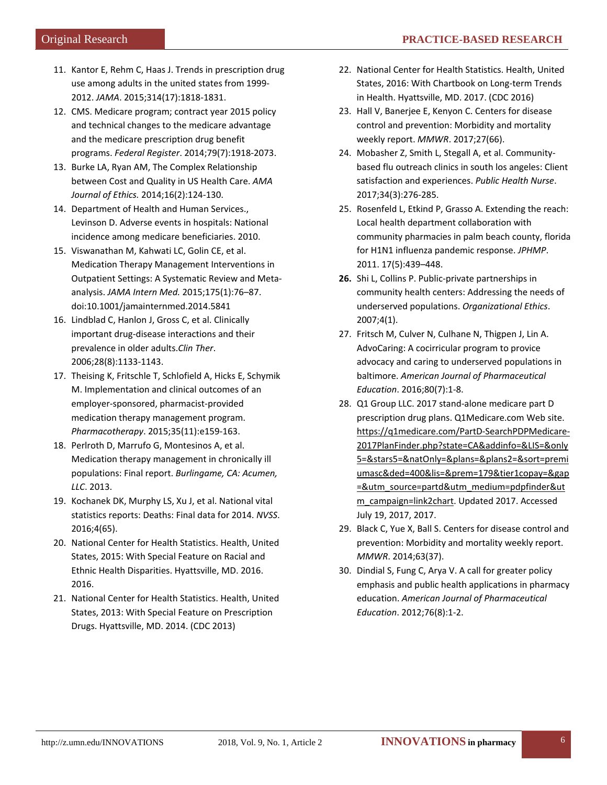- 11. Kantor E, Rehm C, Haas J. Trends in prescription drug use among adults in the united states from 1999- 2012. *JAMA*. 2015;314(17):1818-1831.
- 12. CMS. Medicare program; contract year 2015 policy and technical changes to the medicare advantage and the medicare prescription drug benefit programs. *Federal Register*. 2014;79(7):1918-2073.
- 13. Burke LA, Ryan AM, The Complex Relationship between Cost and Quality in US Health Care. *AMA Journal of Ethics.* 2014;16(2):124-130.
- 14. Department of Health and Human Services., Levinson D. Adverse events in hospitals: National incidence among medicare beneficiaries. 2010.
- 15. Viswanathan M, Kahwati LC, Golin CE, et al. Medication Therapy Management Interventions in Outpatient Settings: A Systematic Review and Metaanalysis. *JAMA Intern Med.* 2015;175(1):76–87. doi:10.1001/jamainternmed.2014.5841
- 16. Lindblad C, Hanlon J, Gross C, et al. Clinically important drug-disease interactions and their prevalence in older adults.*Clin Ther*. 2006;28(8):1133-1143.
- 17. Theising K, Fritschle T, Schlofield A, Hicks E, Schymik M. Implementation and clinical outcomes of an employer-sponsored, pharmacist-provided medication therapy management program. *Pharmacotherapy*. 2015;35(11):e159-163.
- 18. Perlroth D, Marrufo G, Montesinos A, et al. Medication therapy management in chronically ill populations: Final report. *Burlingame, CA: Acumen, LLC*. 2013.
- 19. Kochanek DK, Murphy LS, Xu J, et al. National vital statistics reports: Deaths: Final data for 2014. *NVSS*. 2016;4(65).
- 20. National Center for Health Statistics. Health, United States, 2015: With Special Feature on Racial and Ethnic Health Disparities. Hyattsville, MD. 2016. 2016.
- 21. National Center for Health Statistics. Health, United States, 2013: With Special Feature on Prescription Drugs. Hyattsville, MD. 2014. (CDC 2013)
- 22. National Center for Health Statistics. Health, United States, 2016: With Chartbook on Long-term Trends in Health. Hyattsville, MD. 2017. (CDC 2016)
- 23. Hall V, Banerjee E, Kenyon C. Centers for disease control and prevention: Morbidity and mortality weekly report. *MMWR*. 2017;27(66).
- 24. Mobasher Z, Smith L, Stegall A, et al. Communitybased flu outreach clinics in south los angeles: Client satisfaction and experiences. *Public Health Nurse*. 2017;34(3):276-285.
- 25. Rosenfeld L, Etkind P, Grasso A. Extending the reach: Local health department collaboration with community pharmacies in palm beach county, florida for H1N1 influenza pandemic response. *JPHMP*. 2011. 17(5):439–448.
- **26.** Shi L, Collins P. Public-private partnerships in community health centers: Addressing the needs of underserved populations. *Organizational Ethics*. 2007;4(1).
- 27. Fritsch M, Culver N, Culhane N, Thigpen J, Lin A. AdvoCaring: A cocirricular program to provice advocacy and caring to underserved populations in baltimore. *American Journal of Pharmaceutical Education*. 2016;80(7):1-8.
- 28. Q1 Group LLC. 2017 stand-alone medicare part D prescription drug plans. Q1Medicare.com Web sit[e.](https://q1medicare.com/PartD-SearchPDPMedicare-2017PlanFinder.php?state=CA&addinfo=&LIS=&only5=&stars5=&natOnly=&plans=&plans2=&sort=premiumasc&ded=400&lis=&prem=179&tier1copay=&gap=&utm_source=partd&utm_medium=pdpfinder&utm_campaign=link2chart) [https://q1medicare.com/PartD-SearchPDPMedicare-](https://q1medicare.com/PartD-SearchPDPMedicare-2017PlanFinder.php?state=CA&addinfo=&LIS=&only5=&stars5=&natOnly=&plans=&plans2=&sort=premiumasc&ded=400&lis=&prem=179&tier1copay=&gap=&utm_source=partd&utm_medium=pdpfinder&utm_campaign=link2chart)[2017PlanFinder.php?state=CA&addinfo=&LIS=&only](https://q1medicare.com/PartD-SearchPDPMedicare-2017PlanFinder.php?state=CA&addinfo=&LIS=&only5=&stars5=&natOnly=&plans=&plans2=&sort=premiumasc&ded=400&lis=&prem=179&tier1copay=&gap=&utm_source=partd&utm_medium=pdpfinder&utm_campaign=link2chart) [5=&stars5=&natOnly=&plans=&plans2=&sort=premi](https://q1medicare.com/PartD-SearchPDPMedicare-2017PlanFinder.php?state=CA&addinfo=&LIS=&only5=&stars5=&natOnly=&plans=&plans2=&sort=premiumasc&ded=400&lis=&prem=179&tier1copay=&gap=&utm_source=partd&utm_medium=pdpfinder&utm_campaign=link2chart) [umasc&ded=400&lis=&prem=179&tier1copay=&gap](https://q1medicare.com/PartD-SearchPDPMedicare-2017PlanFinder.php?state=CA&addinfo=&LIS=&only5=&stars5=&natOnly=&plans=&plans2=&sort=premiumasc&ded=400&lis=&prem=179&tier1copay=&gap=&utm_source=partd&utm_medium=pdpfinder&utm_campaign=link2chart) [=&utm\\_source=partd&utm\\_medium=pdpfinder&ut](https://q1medicare.com/PartD-SearchPDPMedicare-2017PlanFinder.php?state=CA&addinfo=&LIS=&only5=&stars5=&natOnly=&plans=&plans2=&sort=premiumasc&ded=400&lis=&prem=179&tier1copay=&gap=&utm_source=partd&utm_medium=pdpfinder&utm_campaign=link2chart) [m\\_campaign=link2chart.](https://q1medicare.com/PartD-SearchPDPMedicare-2017PlanFinder.php?state=CA&addinfo=&LIS=&only5=&stars5=&natOnly=&plans=&plans2=&sort=premiumasc&ded=400&lis=&prem=179&tier1copay=&gap=&utm_source=partd&utm_medium=pdpfinder&utm_campaign=link2chart) Updated 2017. Accessed July 19, 2017, 2017.
- 29. Black C, Yue X, Ball S. Centers for disease control and prevention: Morbidity and mortality weekly report. *MMWR*. 2014;63(37).
- 30. Dindial S, Fung C, Arya V. A call for greater policy emphasis and public health applications in pharmacy education. *American Journal of Pharmaceutical Education*. 2012;76(8):1-2.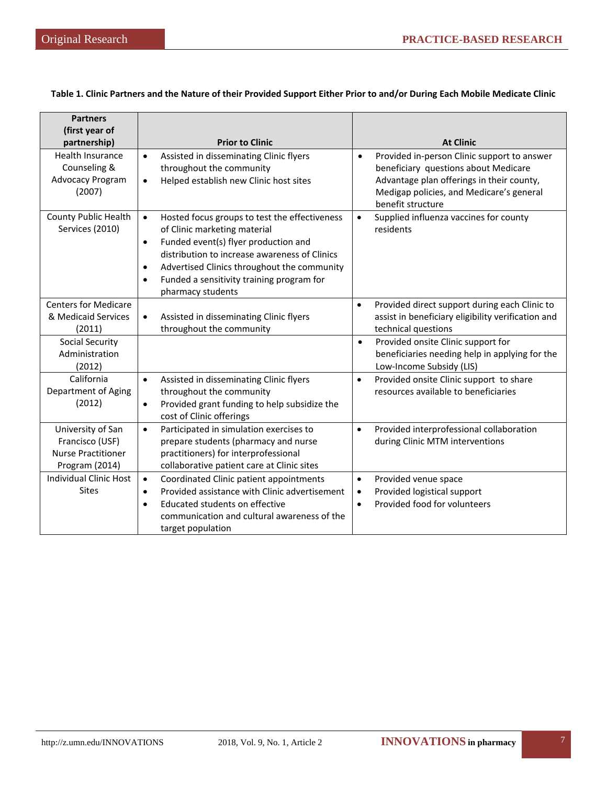## **Table 1. Clinic Partners and the Nature of their Provided Support Either Prior to and/or During Each Mobile Medicate Clinic**

| <b>Partners</b><br>(first year of                                                   |                                                                                                                                                                                                                                                                                                                                             |                                                                                                                                                                                                                |
|-------------------------------------------------------------------------------------|---------------------------------------------------------------------------------------------------------------------------------------------------------------------------------------------------------------------------------------------------------------------------------------------------------------------------------------------|----------------------------------------------------------------------------------------------------------------------------------------------------------------------------------------------------------------|
| partnership)                                                                        | <b>Prior to Clinic</b>                                                                                                                                                                                                                                                                                                                      | <b>At Clinic</b>                                                                                                                                                                                               |
| <b>Health Insurance</b><br>Counseling &<br>Advocacy Program<br>(2007)               | Assisted in disseminating Clinic flyers<br>$\bullet$<br>throughout the community<br>Helped establish new Clinic host sites<br>$\bullet$                                                                                                                                                                                                     | Provided in-person Clinic support to answer<br>$\bullet$<br>beneficiary questions about Medicare<br>Advantage plan offerings in their county,<br>Medigap policies, and Medicare's general<br>benefit structure |
| County Public Health<br>Services (2010)                                             | Hosted focus groups to test the effectiveness<br>$\bullet$<br>of Clinic marketing material<br>Funded event(s) flyer production and<br>$\bullet$<br>distribution to increase awareness of Clinics<br>Advertised Clinics throughout the community<br>$\bullet$<br>Funded a sensitivity training program for<br>$\bullet$<br>pharmacy students | Supplied influenza vaccines for county<br>$\bullet$<br>residents                                                                                                                                               |
| <b>Centers for Medicare</b><br>& Medicaid Services<br>(2011)                        | Assisted in disseminating Clinic flyers<br>$\bullet$<br>throughout the community                                                                                                                                                                                                                                                            | Provided direct support during each Clinic to<br>$\bullet$<br>assist in beneficiary eligibility verification and<br>technical questions                                                                        |
| <b>Social Security</b><br>Administration<br>(2012)                                  |                                                                                                                                                                                                                                                                                                                                             | Provided onsite Clinic support for<br>$\bullet$<br>beneficiaries needing help in applying for the<br>Low-Income Subsidy (LIS)                                                                                  |
| California<br>Department of Aging<br>(2012)                                         | Assisted in disseminating Clinic flyers<br>$\bullet$<br>throughout the community<br>Provided grant funding to help subsidize the<br>$\bullet$<br>cost of Clinic offerings                                                                                                                                                                   | Provided onsite Clinic support to share<br>$\bullet$<br>resources available to beneficiaries                                                                                                                   |
| University of San<br>Francisco (USF)<br><b>Nurse Practitioner</b><br>Program (2014) | Participated in simulation exercises to<br>$\bullet$<br>prepare students (pharmacy and nurse<br>practitioners) for interprofessional<br>collaborative patient care at Clinic sites                                                                                                                                                          | Provided interprofessional collaboration<br>$\bullet$<br>during Clinic MTM interventions                                                                                                                       |
| <b>Individual Clinic Host</b><br><b>Sites</b>                                       | $\bullet$<br>Coordinated Clinic patient appointments<br>Provided assistance with Clinic advertisement<br>$\bullet$<br>Educated students on effective<br>$\bullet$<br>communication and cultural awareness of the<br>target population                                                                                                       | Provided venue space<br>$\bullet$<br>Provided logistical support<br>$\bullet$<br>Provided food for volunteers<br>$\bullet$                                                                                     |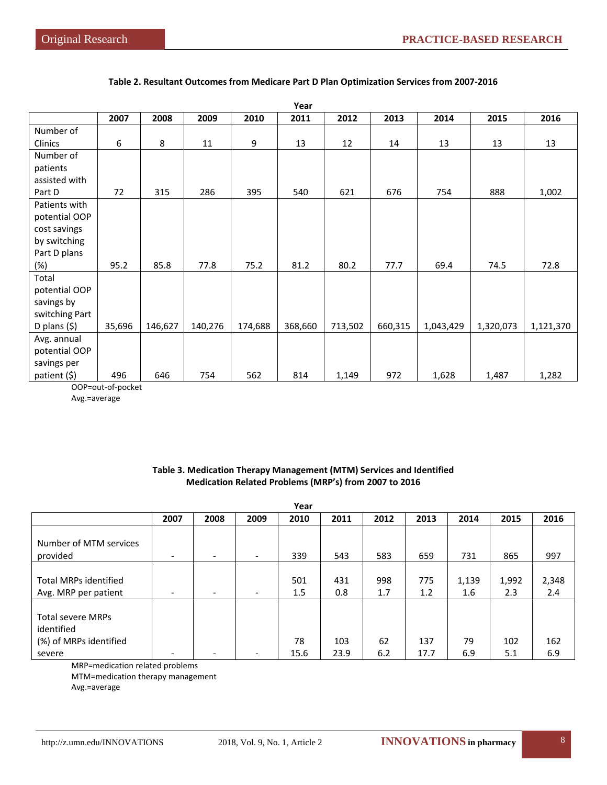| Year           |        |         |         |         |         |         |         |           |           |           |
|----------------|--------|---------|---------|---------|---------|---------|---------|-----------|-----------|-----------|
|                | 2007   | 2008    | 2009    | 2010    | 2011    | 2012    | 2013    | 2014      | 2015      | 2016      |
| Number of      |        |         |         |         |         |         |         |           |           |           |
| Clinics        | 6      | 8       | 11      | 9       | 13      | 12      | 14      | 13        | 13        | 13        |
| Number of      |        |         |         |         |         |         |         |           |           |           |
| patients       |        |         |         |         |         |         |         |           |           |           |
| assisted with  |        |         |         |         |         |         |         |           |           |           |
| Part D         | 72     | 315     | 286     | 395     | 540     | 621     | 676     | 754       | 888       | 1,002     |
| Patients with  |        |         |         |         |         |         |         |           |           |           |
| potential OOP  |        |         |         |         |         |         |         |           |           |           |
| cost savings   |        |         |         |         |         |         |         |           |           |           |
| by switching   |        |         |         |         |         |         |         |           |           |           |
| Part D plans   |        |         |         |         |         |         |         |           |           |           |
| (%)            | 95.2   | 85.8    | 77.8    | 75.2    | 81.2    | 80.2    | 77.7    | 69.4      | 74.5      | 72.8      |
| Total          |        |         |         |         |         |         |         |           |           |           |
| potential OOP  |        |         |         |         |         |         |         |           |           |           |
| savings by     |        |         |         |         |         |         |         |           |           |           |
| switching Part |        |         |         |         |         |         |         |           |           |           |
| D plans $(5)$  | 35,696 | 146,627 | 140,276 | 174,688 | 368,660 | 713,502 | 660,315 | 1,043,429 | 1,320,073 | 1,121,370 |
| Avg. annual    |        |         |         |         |         |         |         |           |           |           |
| potential OOP  |        |         |         |         |         |         |         |           |           |           |
| savings per    |        |         |         |         |         |         |         |           |           |           |
| patient (\$)   | 496    | 646     | 754     | 562     | 814     | 1,149   | 972     | 1,628     | 1,487     | 1,282     |

### **Table 2. Resultant Outcomes from Medicare Part D Plan Optimization Services from 2007-2016**

OOP=out-of-pocket

Avg.=average

## **Table 3. Medication Therapy Management (MTM) Services and Identified Medication Related Problems (MRP's) from 2007 to 2016**

| Year                                                                       |                          |                          |                          |            |             |            |             |              |              |              |
|----------------------------------------------------------------------------|--------------------------|--------------------------|--------------------------|------------|-------------|------------|-------------|--------------|--------------|--------------|
|                                                                            | 2007                     | 2008                     | 2009                     | 2010       | 2011        | 2012       | 2013        | 2014         | 2015         | 2016         |
| Number of MTM services<br>provided                                         | $\overline{\phantom{0}}$ | $\overline{\phantom{a}}$ | $\overline{\phantom{a}}$ | 339        | 543         | 583        | 659         | 731          | 865          | 997          |
| <b>Total MRPs identified</b><br>Avg. MRP per patient                       | $\overline{\phantom{0}}$ | $\overline{\phantom{a}}$ | $\overline{\phantom{0}}$ | 501<br>1.5 | 431<br>0.8  | 998<br>1.7 | 775<br>1.2  | 1,139<br>1.6 | 1,992<br>2.3 | 2,348<br>2.4 |
| <b>Total severe MRPs</b><br>identified<br>(%) of MRPs identified<br>severe | $\overline{\phantom{a}}$ |                          |                          | 78<br>15.6 | 103<br>23.9 | 62<br>6.2  | 137<br>17.7 | 79<br>6.9    | 102<br>5.1   | 162<br>6.9   |

MRP=medication related problems

MTM=medication therapy management

Avg.=average